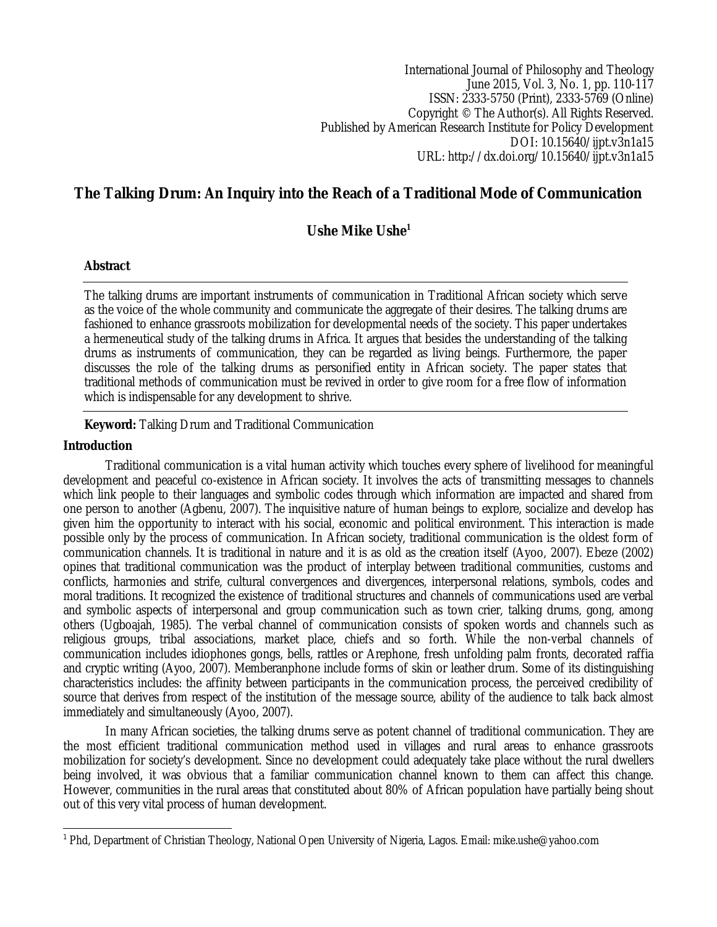International Journal of Philosophy and Theology June 2015, Vol. 3, No. 1, pp. 110-117 ISSN: 2333-5750 (Print), 2333-5769 (Online) Copyright © The Author(s). All Rights Reserved. Published by American Research Institute for Policy Development DOI: 10.15640/ijpt.v3n1a15 URL: http://dx.doi.org/10.15640/ijpt.v3n1a15

# **The Talking Drum: An Inquiry into the Reach of a Traditional Mode of Communication**

# **Ushe Mike Ushe<sup>1</sup>**

# **Abstract**

The talking drums are important instruments of communication in Traditional African society which serve as the voice of the whole community and communicate the aggregate of their desires. The talking drums are fashioned to enhance grassroots mobilization for developmental needs of the society. This paper undertakes a hermeneutical study of the talking drums in Africa. It argues that besides the understanding of the talking drums as instruments of communication, they can be regarded as living beings. Furthermore, the paper discusses the role of the talking drums as personified entity in African society. The paper states that traditional methods of communication must be revived in order to give room for a free flow of information which is indispensable for any development to shrive.

**Keyword:** Talking Drum and Traditional Communication

# **Introduction**

Traditional communication is a vital human activity which touches every sphere of livelihood for meaningful development and peaceful co-existence in African society. It involves the acts of transmitting messages to channels which link people to their languages and symbolic codes through which information are impacted and shared from one person to another (Agbenu, 2007). The inquisitive nature of human beings to explore, socialize and develop has given him the opportunity to interact with his social, economic and political environment. This interaction is made possible only by the process of communication. In African society, traditional communication is the oldest form of communication channels. It is traditional in nature and it is as old as the creation itself (Ayoo, 2007). Ebeze (2002) opines that traditional communication was the product of interplay between traditional communities, customs and conflicts, harmonies and strife, cultural convergences and divergences, interpersonal relations, symbols, codes and moral traditions. It recognized the existence of traditional structures and channels of communications used are verbal and symbolic aspects of interpersonal and group communication such as town crier, talking drums, gong, among others (Ugboajah, 1985). The verbal channel of communication consists of spoken words and channels such as religious groups, tribal associations, market place, chiefs and so forth. While the non-verbal channels of communication includes idiophones gongs, bells, rattles or Arephone, fresh unfolding palm fronts, decorated raffia and cryptic writing (Ayoo, 2007). Memberanphone include forms of skin or leather drum. Some of its distinguishing characteristics includes: the affinity between participants in the communication process, the perceived credibility of source that derives from respect of the institution of the message source, ability of the audience to talk back almost immediately and simultaneously (Ayoo, 2007).

In many African societies, the talking drums serve as potent channel of traditional communication. They are the most efficient traditional communication method used in villages and rural areas to enhance grassroots mobilization for society's development. Since no development could adequately take place without the rural dwellers being involved, it was obvious that a familiar communication channel known to them can affect this change. However, communities in the rural areas that constituted about 80% of African population have partially being shout out of this very vital process of human development.

 $\overline{a}$  $^1$  Phd, Department of Christian Theology, National Open University of Nigeria, Lagos. Email: mike.ushe@yahoo.com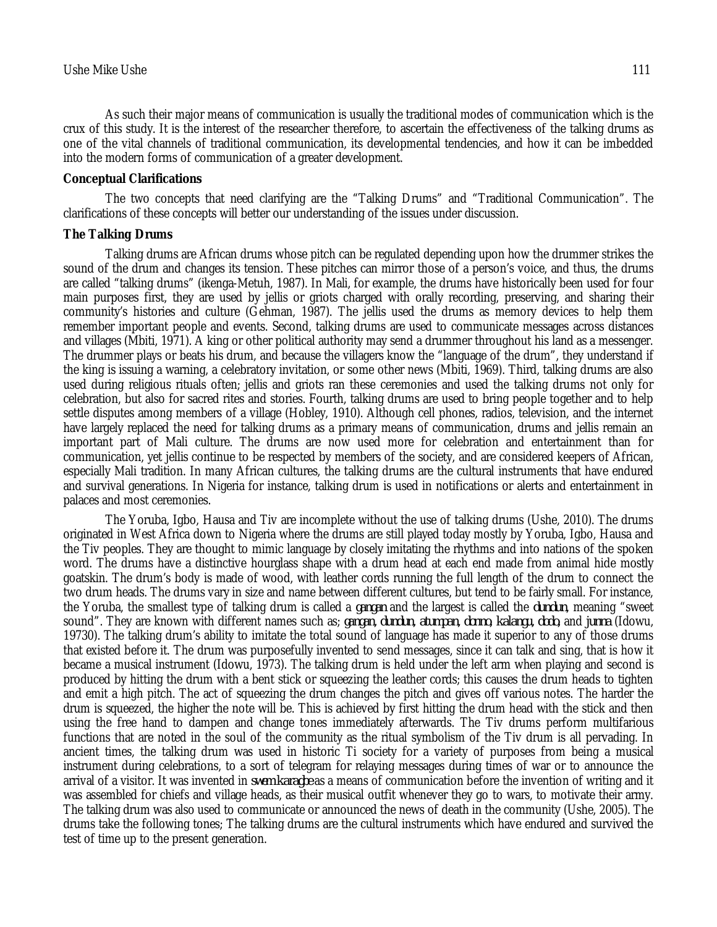As such their major means of communication is usually the traditional modes of communication which is the crux of this study. It is the interest of the researcher therefore, to ascertain the effectiveness of the talking drums as one of the vital channels of traditional communication, its developmental tendencies, and how it can be imbedded into the modern forms of communication of a greater development.

#### **Conceptual Clarifications**

The two concepts that need clarifying are the "Talking Drums" and "Traditional Communication". The clarifications of these concepts will better our understanding of the issues under discussion.

#### **The Talking Drums**

Talking drums are African drums whose pitch can be regulated depending upon how the drummer strikes the sound of the drum and changes its tension. These pitches can mirror those of a person's voice, and thus, the drums are called "talking drums" (ikenga-Metuh, 1987). In Mali, for example, the drums have historically been used for four main purposes first, they are used by jellis or griots charged with orally recording, preserving, and sharing their community's histories and culture (Gehman, 1987). The jellis used the drums as memory devices to help them remember important people and events. Second, talking drums are used to communicate messages across distances and villages (Mbiti, 1971). A king or other political authority may send a drummer throughout his land as a messenger. The drummer plays or beats his drum, and because the villagers know the "language of the drum", they understand if the king is issuing a warning, a celebratory invitation, or some other news (Mbiti, 1969). Third, talking drums are also used during religious rituals often; jellis and griots ran these ceremonies and used the talking drums not only for celebration, but also for sacred rites and stories. Fourth, talking drums are used to bring people together and to help settle disputes among members of a village (Hobley, 1910). Although cell phones, radios, television, and the internet have largely replaced the need for talking drums as a primary means of communication, drums and jellis remain an important part of Mali culture. The drums are now used more for celebration and entertainment than for communication, yet jellis continue to be respected by members of the society, and are considered keepers of African, especially Mali tradition. In many African cultures, the talking drums are the cultural instruments that have endured and survival generations. In Nigeria for instance, talking drum is used in notifications or alerts and entertainment in palaces and most ceremonies.

The Yoruba, Igbo, Hausa and Tiv are incomplete without the use of talking drums (Ushe, 2010). The drums originated in West Africa down to Nigeria where the drums are still played today mostly by Yoruba, Igbo, Hausa and the Tiv peoples. They are thought to mimic language by closely imitating the rhythms and into nations of the spoken word. The drums have a distinctive hourglass shape with a drum head at each end made from animal hide mostly goatskin. The drum's body is made of wood, with leather cords running the full length of the drum to connect the two drum heads. The drums vary in size and name between different cultures, but tend to be fairly small. For instance, the Yoruba, the smallest type of talking drum is called a *gangan* and the largest is called the *dundun*, meaning "sweet sound". They are known with different names such as; *gangan, dundun, atumpan, donno, kalangu, dodo,* and *junna* (Idowu, 19730). The talking drum's ability to imitate the total sound of language has made it superior to any of those drums that existed before it. The drum was purposefully invented to send messages, since it can talk and sing, that is how it became a musical instrument (Idowu, 1973). The talking drum is held under the left arm when playing and second is produced by hitting the drum with a bent stick or squeezing the leather cords; this causes the drum heads to tighten and emit a high pitch. The act of squeezing the drum changes the pitch and gives off various notes. The harder the drum is squeezed, the higher the note will be. This is achieved by first hitting the drum head with the stick and then using the free hand to dampen and change tones immediately afterwards. The Tiv drums perform multifarious functions that are noted in the soul of the community as the ritual symbolism of the Tiv drum is all pervading. In ancient times, the talking drum was used in historic Ti society for a variety of purposes from being a musical instrument during celebrations, to a sort of telegram for relaying messages during times of war or to announce the arrival of a visitor. It was invented in *swem karagbe* as a means of communication before the invention of writing and it was assembled for chiefs and village heads, as their musical outfit whenever they go to wars, to motivate their army. The talking drum was also used to communicate or announced the news of death in the community (Ushe, 2005). The drums take the following tones; The talking drums are the cultural instruments which have endured and survived the test of time up to the present generation.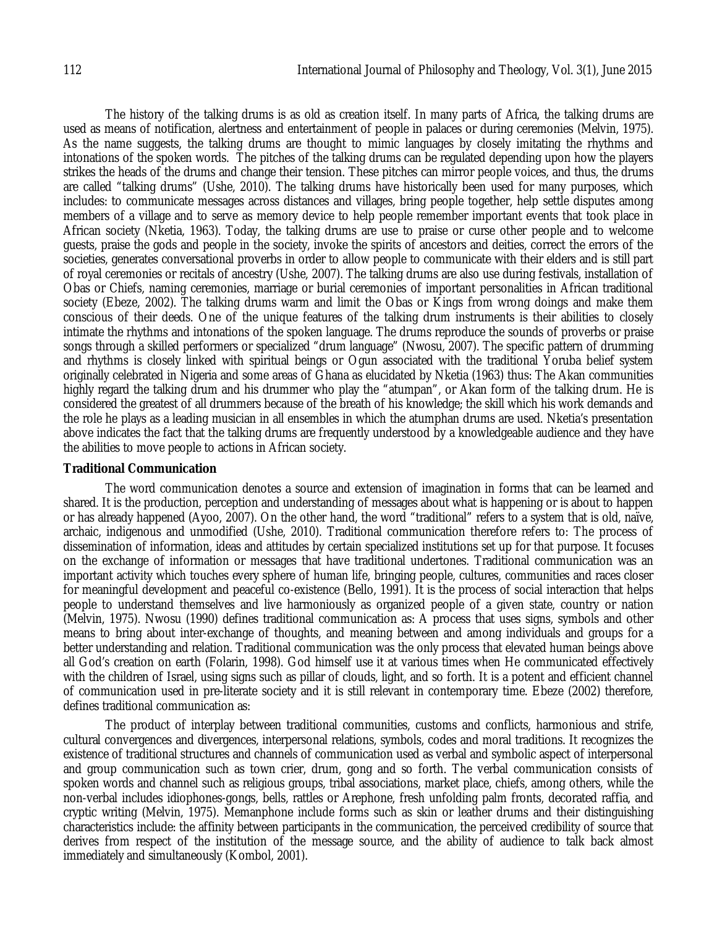The history of the talking drums is as old as creation itself. In many parts of Africa, the talking drums are used as means of notification, alertness and entertainment of people in palaces or during ceremonies (Melvin, 1975). As the name suggests, the talking drums are thought to mimic languages by closely imitating the rhythms and intonations of the spoken words. The pitches of the talking drums can be regulated depending upon how the players strikes the heads of the drums and change their tension. These pitches can mirror people voices, and thus, the drums are called "talking drums" (Ushe, 2010). The talking drums have historically been used for many purposes, which includes: to communicate messages across distances and villages, bring people together, help settle disputes among members of a village and to serve as memory device to help people remember important events that took place in African society (Nketia, 1963). Today, the talking drums are use to praise or curse other people and to welcome guests, praise the gods and people in the society, invoke the spirits of ancestors and deities, correct the errors of the societies, generates conversational proverbs in order to allow people to communicate with their elders and is still part of royal ceremonies or recitals of ancestry (Ushe, 2007). The talking drums are also use during festivals, installation of Obas or Chiefs, naming ceremonies, marriage or burial ceremonies of important personalities in African traditional society (Ebeze, 2002). The talking drums warm and limit the Obas or Kings from wrong doings and make them conscious of their deeds. One of the unique features of the talking drum instruments is their abilities to closely intimate the rhythms and intonations of the spoken language. The drums reproduce the sounds of proverbs or praise songs through a skilled performers or specialized "drum language" (Nwosu, 2007). The specific pattern of drumming and rhythms is closely linked with spiritual beings or Ogun associated with the traditional Yoruba belief system originally celebrated in Nigeria and some areas of Ghana as elucidated by Nketia (1963) thus: The Akan communities highly regard the talking drum and his drummer who play the "atumpan", or Akan form of the talking drum. He is considered the greatest of all drummers because of the breath of his knowledge; the skill which his work demands and the role he plays as a leading musician in all ensembles in which the atumphan drums are used. Nketia's presentation above indicates the fact that the talking drums are frequently understood by a knowledgeable audience and they have the abilities to move people to actions in African society.

#### **Traditional Communication**

The word communication denotes a source and extension of imagination in forms that can be learned and shared. It is the production, perception and understanding of messages about what is happening or is about to happen or has already happened (Ayoo, 2007). On the other hand, the word "traditional" refers to a system that is old, naïve, archaic, indigenous and unmodified (Ushe, 2010). Traditional communication therefore refers to: The process of dissemination of information, ideas and attitudes by certain specialized institutions set up for that purpose. It focuses on the exchange of information or messages that have traditional undertones. Traditional communication was an important activity which touches every sphere of human life, bringing people, cultures, communities and races closer for meaningful development and peaceful co-existence (Bello, 1991). It is the process of social interaction that helps people to understand themselves and live harmoniously as organized people of a given state, country or nation (Melvin, 1975). Nwosu (1990) defines traditional communication as: A process that uses signs, symbols and other means to bring about inter-exchange of thoughts, and meaning between and among individuals and groups for a better understanding and relation. Traditional communication was the only process that elevated human beings above all God's creation on earth (Folarin, 1998). God himself use it at various times when He communicated effectively with the children of Israel, using signs such as pillar of clouds, light, and so forth. It is a potent and efficient channel of communication used in pre-literate society and it is still relevant in contemporary time. Ebeze (2002) therefore, defines traditional communication as:

The product of interplay between traditional communities, customs and conflicts, harmonious and strife, cultural convergences and divergences, interpersonal relations, symbols, codes and moral traditions. It recognizes the existence of traditional structures and channels of communication used as verbal and symbolic aspect of interpersonal and group communication such as town crier, drum, gong and so forth. The verbal communication consists of spoken words and channel such as religious groups, tribal associations, market place, chiefs, among others, while the non-verbal includes idiophones-gongs, bells, rattles or Arephone, fresh unfolding palm fronts, decorated raffia, and cryptic writing (Melvin, 1975). Memanphone include forms such as skin or leather drums and their distinguishing characteristics include: the affinity between participants in the communication, the perceived credibility of source that derives from respect of the institution of the message source, and the ability of audience to talk back almost immediately and simultaneously (Kombol, 2001).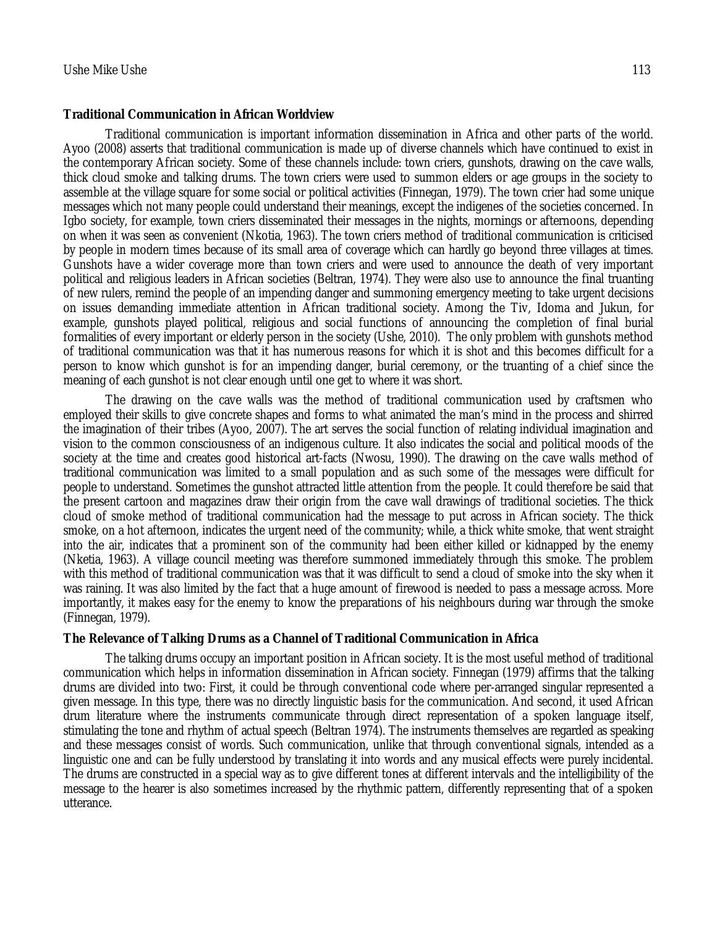#### **Traditional Communication in African Worldview**

Traditional communication is important information dissemination in Africa and other parts of the world. Ayoo (2008) asserts that traditional communication is made up of diverse channels which have continued to exist in the contemporary African society. Some of these channels include: town criers, gunshots, drawing on the cave walls, thick cloud smoke and talking drums. The town criers were used to summon elders or age groups in the society to assemble at the village square for some social or political activities (Finnegan, 1979). The town crier had some unique messages which not many people could understand their meanings, except the indigenes of the societies concerned. In Igbo society, for example, town criers disseminated their messages in the nights, mornings or afternoons, depending on when it was seen as convenient (Nkotia, 1963). The town criers method of traditional communication is criticised by people in modern times because of its small area of coverage which can hardly go beyond three villages at times. Gunshots have a wider coverage more than town criers and were used to announce the death of very important political and religious leaders in African societies (Beltran, 1974). They were also use to announce the final truanting of new rulers, remind the people of an impending danger and summoning emergency meeting to take urgent decisions on issues demanding immediate attention in African traditional society. Among the Tiv, Idoma and Jukun, for example, gunshots played political, religious and social functions of announcing the completion of final burial formalities of every important or elderly person in the society (Ushe, 2010). The only problem with gunshots method of traditional communication was that it has numerous reasons for which it is shot and this becomes difficult for a person to know which gunshot is for an impending danger, burial ceremony, or the truanting of a chief since the meaning of each gunshot is not clear enough until one get to where it was short.

The drawing on the cave walls was the method of traditional communication used by craftsmen who employed their skills to give concrete shapes and forms to what animated the man's mind in the process and shirred the imagination of their tribes (Ayoo, 2007). The art serves the social function of relating individual imagination and vision to the common consciousness of an indigenous culture. It also indicates the social and political moods of the society at the time and creates good historical art-facts (Nwosu, 1990). The drawing on the cave walls method of traditional communication was limited to a small population and as such some of the messages were difficult for people to understand. Sometimes the gunshot attracted little attention from the people. It could therefore be said that the present cartoon and magazines draw their origin from the cave wall drawings of traditional societies. The thick cloud of smoke method of traditional communication had the message to put across in African society. The thick smoke, on a hot afternoon, indicates the urgent need of the community; while, a thick white smoke, that went straight into the air, indicates that a prominent son of the community had been either killed or kidnapped by the enemy (Nketia, 1963). A village council meeting was therefore summoned immediately through this smoke. The problem with this method of traditional communication was that it was difficult to send a cloud of smoke into the sky when it was raining. It was also limited by the fact that a huge amount of firewood is needed to pass a message across. More importantly, it makes easy for the enemy to know the preparations of his neighbours during war through the smoke (Finnegan, 1979).

#### **The Relevance of Talking Drums as a Channel of Traditional Communication in Africa**

The talking drums occupy an important position in African society. It is the most useful method of traditional communication which helps in information dissemination in African society. Finnegan (1979) affirms that the talking drums are divided into two: First, it could be through conventional code where per-arranged singular represented a given message. In this type, there was no directly linguistic basis for the communication. And second, it used African drum literature where the instruments communicate through direct representation of a spoken language itself, stimulating the tone and rhythm of actual speech (Beltran 1974). The instruments themselves are regarded as speaking and these messages consist of words. Such communication, unlike that through conventional signals, intended as a linguistic one and can be fully understood by translating it into words and any musical effects were purely incidental. The drums are constructed in a special way as to give different tones at different intervals and the intelligibility of the message to the hearer is also sometimes increased by the rhythmic pattern, differently representing that of a spoken utterance.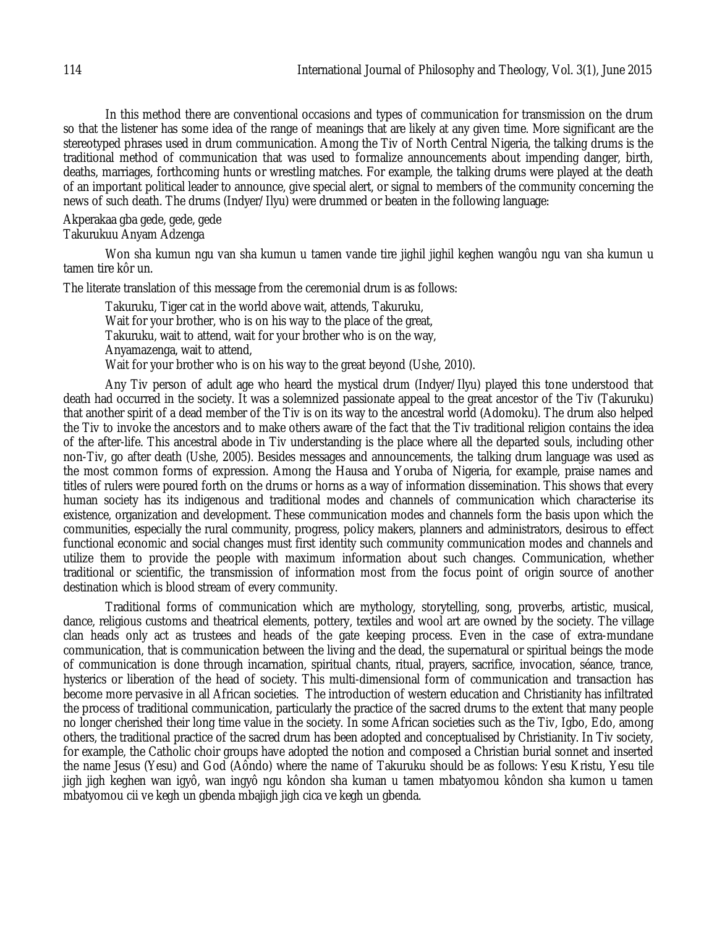In this method there are conventional occasions and types of communication for transmission on the drum so that the listener has some idea of the range of meanings that are likely at any given time. More significant are the stereotyped phrases used in drum communication. Among the Tiv of North Central Nigeria, the talking drums is the traditional method of communication that was used to formalize announcements about impending danger, birth, deaths, marriages, forthcoming hunts or wrestling matches. For example, the talking drums were played at the death of an important political leader to announce, give special alert, or signal to members of the community concerning the news of such death. The drums (Indyer/Ilyu) were drummed or beaten in the following language:

#### Akperakaa gba gede, gede, gede Takurukuu Anyam Adzenga

Won sha kumun ngu van sha kumun u tamen vande tire jighil jighil keghen wangôu ngu van sha kumun u tamen tire kôr un.

The literate translation of this message from the ceremonial drum is as follows:

Takuruku, Tiger cat in the world above wait, attends, Takuruku, Wait for your brother, who is on his way to the place of the great, Takuruku, wait to attend, wait for your brother who is on the way, Anyamazenga, wait to attend, Wait for your brother who is on his way to the great beyond (Ushe, 2010).

Any Tiv person of adult age who heard the mystical drum (Indyer/Ilyu) played this tone understood that death had occurred in the society. It was a solemnized passionate appeal to the great ancestor of the Tiv (Takuruku) that another spirit of a dead member of the Tiv is on its way to the ancestral world (Adomoku). The drum also helped the Tiv to invoke the ancestors and to make others aware of the fact that the Tiv traditional religion contains the idea of the after-life. This ancestral abode in Tiv understanding is the place where all the departed souls, including other non-Tiv, go after death (Ushe, 2005). Besides messages and announcements, the talking drum language was used as the most common forms of expression. Among the Hausa and Yoruba of Nigeria, for example, praise names and titles of rulers were poured forth on the drums or horns as a way of information dissemination. This shows that every human society has its indigenous and traditional modes and channels of communication which characterise its existence, organization and development. These communication modes and channels form the basis upon which the communities, especially the rural community, progress, policy makers, planners and administrators, desirous to effect functional economic and social changes must first identity such community communication modes and channels and utilize them to provide the people with maximum information about such changes. Communication, whether traditional or scientific, the transmission of information most from the focus point of origin source of another destination which is blood stream of every community.

Traditional forms of communication which are mythology, storytelling, song, proverbs, artistic, musical, dance, religious customs and theatrical elements, pottery, textiles and wool art are owned by the society. The village clan heads only act as trustees and heads of the gate keeping process. Even in the case of extra-mundane communication, that is communication between the living and the dead, the supernatural or spiritual beings the mode of communication is done through incarnation, spiritual chants, ritual, prayers, sacrifice, invocation, séance, trance, hysterics or liberation of the head of society. This multi-dimensional form of communication and transaction has become more pervasive in all African societies. The introduction of western education and Christianity has infiltrated the process of traditional communication, particularly the practice of the sacred drums to the extent that many people no longer cherished their long time value in the society. In some African societies such as the Tiv, Igbo, Edo, among others, the traditional practice of the sacred drum has been adopted and conceptualised by Christianity. In Tiv society, for example, the Catholic choir groups have adopted the notion and composed a Christian burial sonnet and inserted the name Jesus (Yesu) and God (Aôndo) where the name of Takuruku should be as follows: Yesu Kristu, Yesu tile jigh jigh keghen wan igyô, wan ingyô ngu kôndon sha kuman u tamen mbatyomou kôndon sha kumon u tamen mbatyomou cii ve kegh un gbenda mbajigh jigh cica ve kegh un gbenda.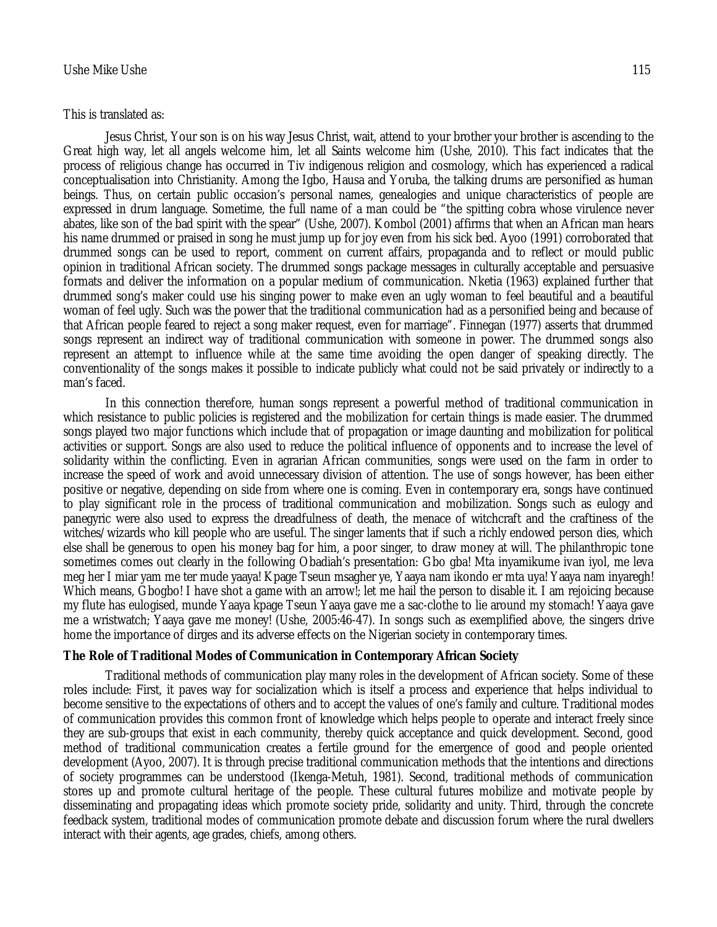#### This is translated as:

Jesus Christ, Your son is on his way Jesus Christ, wait, attend to your brother your brother is ascending to the Great high way, let all angels welcome him, let all Saints welcome him (Ushe, 2010). This fact indicates that the process of religious change has occurred in Tiv indigenous religion and cosmology, which has experienced a radical conceptualisation into Christianity. Among the Igbo, Hausa and Yoruba, the talking drums are personified as human beings. Thus, on certain public occasion's personal names, genealogies and unique characteristics of people are expressed in drum language. Sometime, the full name of a man could be "the spitting cobra whose virulence never abates, like son of the bad spirit with the spear" (Ushe, 2007). Kombol (2001) affirms that when an African man hears his name drummed or praised in song he must jump up for joy even from his sick bed. Ayoo (1991) corroborated that drummed songs can be used to report, comment on current affairs, propaganda and to reflect or mould public opinion in traditional African society. The drummed songs package messages in culturally acceptable and persuasive formats and deliver the information on a popular medium of communication. Nketia (1963) explained further that drummed song's maker could use his singing power to make even an ugly woman to feel beautiful and a beautiful woman of feel ugly. Such was the power that the traditional communication had as a personified being and because of that African people feared to reject a song maker request, even for marriage". Finnegan (1977) asserts that drummed songs represent an indirect way of traditional communication with someone in power. The drummed songs also represent an attempt to influence while at the same time avoiding the open danger of speaking directly. The conventionality of the songs makes it possible to indicate publicly what could not be said privately or indirectly to a man's faced.

In this connection therefore, human songs represent a powerful method of traditional communication in which resistance to public policies is registered and the mobilization for certain things is made easier. The drummed songs played two major functions which include that of propagation or image daunting and mobilization for political activities or support. Songs are also used to reduce the political influence of opponents and to increase the level of solidarity within the conflicting. Even in agrarian African communities, songs were used on the farm in order to increase the speed of work and avoid unnecessary division of attention. The use of songs however, has been either positive or negative, depending on side from where one is coming. Even in contemporary era, songs have continued to play significant role in the process of traditional communication and mobilization. Songs such as eulogy and panegyric were also used to express the dreadfulness of death, the menace of witchcraft and the craftiness of the witches/wizards who kill people who are useful. The singer laments that if such a richly endowed person dies, which else shall be generous to open his money bag for him, a poor singer, to draw money at will. The philanthropic tone sometimes comes out clearly in the following Obadiah's presentation: Gbo gba! Mta inyamikume ivan iyol, me leva meg her I miar yam me ter mude yaaya! Kpage Tseun msagher ye, Yaaya nam ikondo er mta uya! Yaaya nam inyaregh! Which means, Gbogbo! I have shot a game with an arrow!; let me hail the person to disable it. I am rejoicing because my flute has eulogised, munde Yaaya kpage Tseun Yaaya gave me a sac-clothe to lie around my stomach! Yaaya gave me a wristwatch; Yaaya gave me money! (Ushe, 2005:46-47). In songs such as exemplified above, the singers drive home the importance of dirges and its adverse effects on the Nigerian society in contemporary times.

# **The Role of Traditional Modes of Communication in Contemporary African Society**

Traditional methods of communication play many roles in the development of African society. Some of these roles include: First, it paves way for socialization which is itself a process and experience that helps individual to become sensitive to the expectations of others and to accept the values of one's family and culture. Traditional modes of communication provides this common front of knowledge which helps people to operate and interact freely since they are sub-groups that exist in each community, thereby quick acceptance and quick development. Second, good method of traditional communication creates a fertile ground for the emergence of good and people oriented development (Ayoo, 2007). It is through precise traditional communication methods that the intentions and directions of society programmes can be understood (Ikenga-Metuh, 1981). Second, traditional methods of communication stores up and promote cultural heritage of the people. These cultural futures mobilize and motivate people by disseminating and propagating ideas which promote society pride, solidarity and unity. Third, through the concrete feedback system, traditional modes of communication promote debate and discussion forum where the rural dwellers interact with their agents, age grades, chiefs, among others.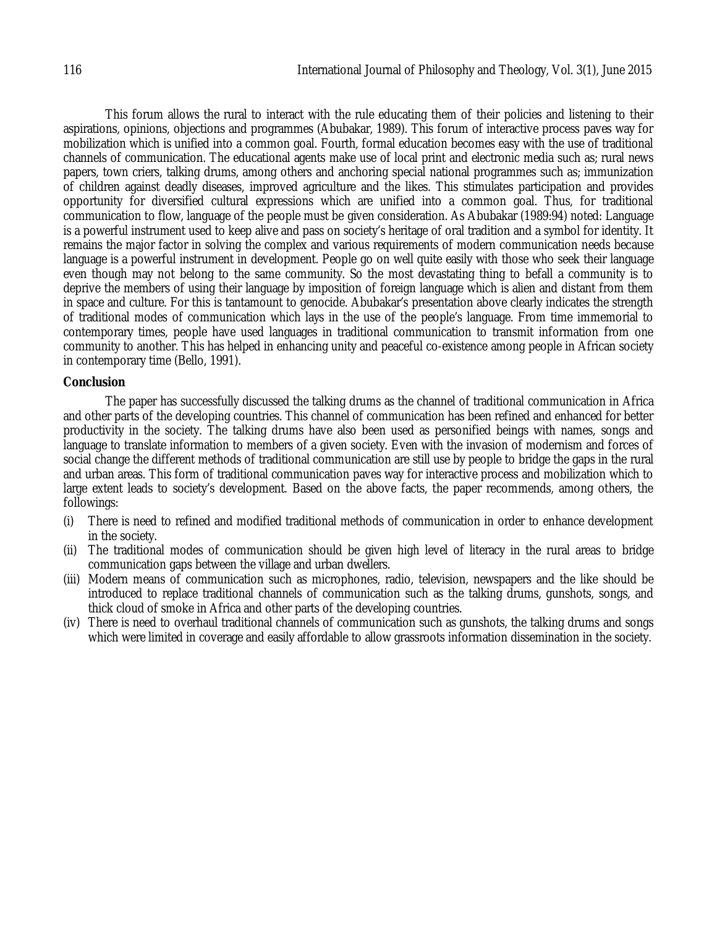This forum allows the rural to interact with the rule educating them of their policies and listening to their aspirations, opinions, objections and programmes (Abubakar, 1989). This forum of interactive process paves way for mobilization which is unified into a common goal. Fourth, formal education becomes easy with the use of traditional channels of communication. The educational agents make use of local print and electronic media such as; rural news papers, town criers, talking drums, among others and anchoring special national programmes such as; immunization of children against deadly diseases, improved agriculture and the likes. This stimulates participation and provides opportunity for diversified cultural expressions which are unified into a common goal. Thus, for traditional communication to flow, language of the people must be given consideration. As Abubakar (1989:94) noted: Language is a powerful instrument used to keep alive and pass on society's heritage of oral tradition and a symbol for identity. It remains the major factor in solving the complex and various requirements of modern communication needs because language is a powerful instrument in development. People go on well quite easily with those who seek their language even though may not belong to the same community. So the most devastating thing to befall a community is to deprive the members of using their language by imposition of foreign language which is alien and distant from them in space and culture. For this is tantamount to genocide. Abubakar's presentation above clearly indicates the strength of traditional modes of communication which lays in the use of the people's language. From time immemorial to contemporary times, people have used languages in traditional communication to transmit information from one community to another. This has helped in enhancing unity and peaceful co-existence among people in African society in contemporary time (Bello, 1991).

# **Conclusion**

The paper has successfully discussed the talking drums as the channel of traditional communication in Africa and other parts of the developing countries. This channel of communication has been refined and enhanced for better productivity in the society. The talking drums have also been used as personified beings with names, songs and language to translate information to members of a given society. Even with the invasion of modernism and forces of social change the different methods of traditional communication are still use by people to bridge the gaps in the rural and urban areas. This form of traditional communication paves way for interactive process and mobilization which to large extent leads to society's development. Based on the above facts, the paper recommends, among others, the followings:

- (i) There is need to refined and modified traditional methods of communication in order to enhance development in the society.
- (ii) The traditional modes of communication should be given high level of literacy in the rural areas to bridge communication gaps between the village and urban dwellers.
- (iii) Modern means of communication such as microphones, radio, television, newspapers and the like should be introduced to replace traditional channels of communication such as the talking drums, gunshots, songs, and thick cloud of smoke in Africa and other parts of the developing countries.
- (iv) There is need to overhaul traditional channels of communication such as gunshots, the talking drums and songs which were limited in coverage and easily affordable to allow grassroots information dissemination in the society.